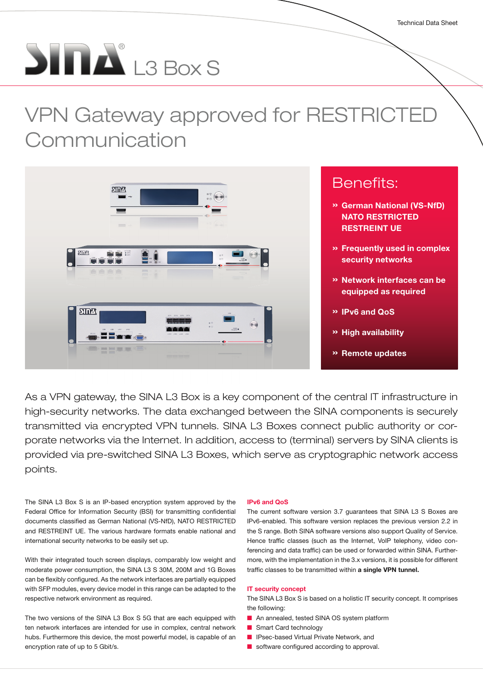# $\sum_{i=1}^{\infty}$  L3 Box S

## VPN Gateway approved for RESTRICTED **Communication**



As a VPN gateway, the SINA L3 Box is a key component of the central IT infrastructure in high-security networks. The data exchanged between the SINA components is securely transmitted via encrypted VPN tunnels. SINA L3 Boxes connect public authority or corporate networks via the Internet. In addition, access to (terminal) servers by SINA clients is provided via pre-switched SINA L3 Boxes, which serve as cryptographic network access points.

The SINA L3 Box S is an IP-based encryption system approved by the Federal Office for Information Security (BSI) for transmitting confidential documents classified as German National (VS-NfD), NATO RESTRICTED and RESTREINT UE. The various hardware formats enable national and international security networks to be easily set up.

With their integrated touch screen displays, comparably low weight and moderate power consumption, the SINA L3 S 30M, 200M and 1G Boxes can be flexibly configured. As the network interfaces are partially equipped with SFP modules, every device model in this range can be adapted to the respective network environment as required.

The two versions of the SINA L3 Box S 5G that are each equipped with ten network interfaces are intended for use in complex, central network hubs. Furthermore this device, the most powerful model, is capable of an encryption rate of up to 5 Gbit/s.

#### IPv6 and QoS

The current software version 3.7 guarantees that SINA L3 S Boxes are IPv6-enabled. This software version replaces the previous version 2.2 in the S range. Both SINA software versions also support Quality of Service. Hence traffic classes (such as the Internet, VoIP telephony, video conferencing and data traffic) can be used or forwarded within SINA. Furthermore, with the implementation in the 3.x versions, it is possible for different traffic classes to be transmitted within a single VPN tunnel.

#### IT security concept

The SINA L3 Box S is based on a holistic IT security concept. It comprises the following:

- An annealed, tested SINA OS system platform
- Smart Card technology
- IPsec-based Virtual Private Network, and
- software configured according to approval.